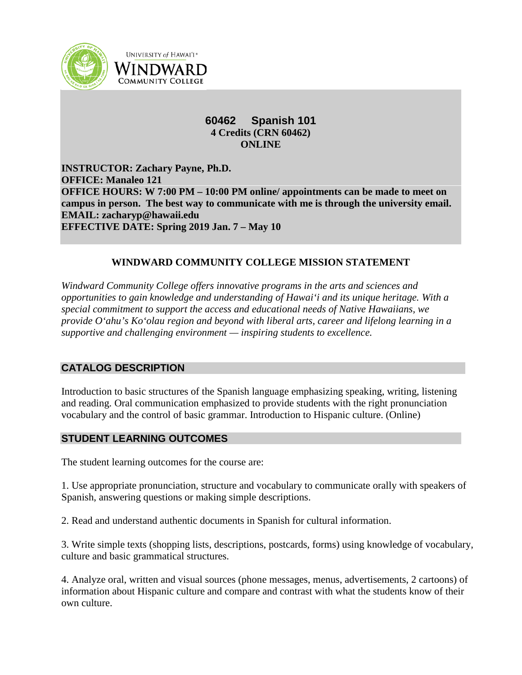

**UNIVERSITY of HAWAI'I\*** WINDWARD **COMMUNITY COLLEGE** 

# **60462 Spanish 101 4 Credits (CRN 60462) ONLINE**

**INSTRUCTOR: Zachary Payne, Ph.D. OFFICE: Manaleo 121 OFFICE HOURS: W 7:00 PM – 10:00 PM online/ appointments can be made to meet on campus in person. The best way to communicate with me is through the university email. EMAIL: zacharyp@hawaii.edu EFFECTIVE DATE: Spring 2019 Jan. 7 – May 10**

# **WINDWARD COMMUNITY COLLEGE MISSION STATEMENT**

*Windward Community College offers innovative programs in the arts and sciences and opportunities to gain knowledge and understanding of Hawai'i and its unique heritage. With a special commitment to support the access and educational needs of Native Hawaiians, we provide O'ahu's Ko'olau region and beyond with liberal arts, career and lifelong learning in a supportive and challenging environment — inspiring students to excellence.*

# **CATALOG DESCRIPTION**

Introduction to basic structures of the Spanish language emphasizing speaking, writing, listening and reading. Oral communication emphasized to provide students with the right pronunciation vocabulary and the control of basic grammar. Introduction to Hispanic culture. (Online)

# **STUDENT LEARNING OUTCOMES**

The student learning outcomes for the course are:

1. Use appropriate pronunciation, structure and vocabulary to communicate orally with speakers of Spanish, answering questions or making simple descriptions.

2. Read and understand authentic documents in Spanish for cultural information.

3. Write simple texts (shopping lists, descriptions, postcards, forms) using knowledge of vocabulary, culture and basic grammatical structures.

4. Analyze oral, written and visual sources (phone messages, menus, advertisements, 2 cartoons) of information about Hispanic culture and compare and contrast with what the students know of their own culture.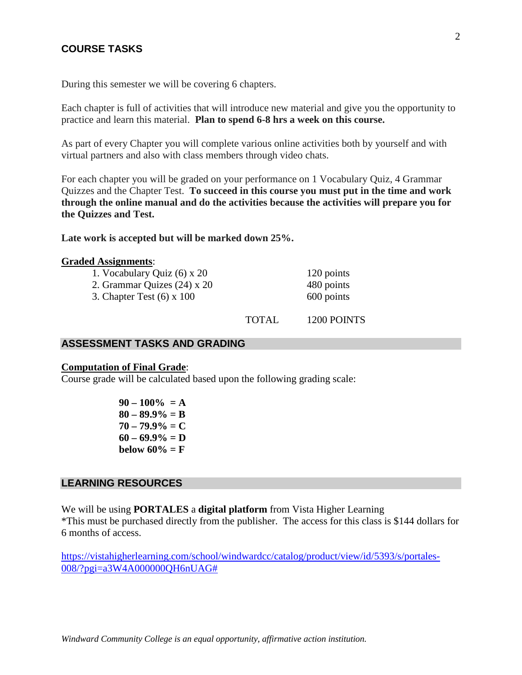# **COURSE TASKS**

During this semester we will be covering 6 chapters.

Each chapter is full of activities that will introduce new material and give you the opportunity to practice and learn this material. **Plan to spend 6-8 hrs a week on this course.**

As part of every Chapter you will complete various online activities both by yourself and with virtual partners and also with class members through video chats.

For each chapter you will be graded on your performance on 1 Vocabulary Quiz, 4 Grammar Quizzes and the Chapter Test. **To succeed in this course you must put in the time and work through the online manual and do the activities because the activities will prepare you for the Quizzes and Test.**

**Late work is accepted but will be marked down 25%.**

#### **Graded Assignments**:

| 1. Vocabulary Quiz (6) x 20 | 120 points |
|-----------------------------|------------|
| 2. Grammar Quizes (24) x 20 | 480 points |
| 3. Chapter Test (6) x 100   | 600 points |

TOTAL 1200 POINTS

# **ASSESSMENT TASKS AND GRADING**

#### **Computation of Final Grade**:

Course grade will be calculated based upon the following grading scale:

**90 – 100% = A 80 – 89.9% = B**  $70 - 79.9\% = C$  $60 - 69.9\% = D$ **below 60%** =  $F$ 

## **LEARNING RESOURCES**

We will be using **PORTALES** a **digital platform** from Vista Higher Learning

\*This must be purchased directly from the publisher. The access for this class is \$144 dollars for 6 months of access.

[https://vistahigherlearning.com/school/windwardcc/catalog/product/view/id/5393/s/portales-](https://vistahigherlearning.com/school/windwardcc/catalog/product/view/id/5393/s/portales-008/?pgi=a3W4A000000QH6nUAG%23)[008/?pgi=a3W4A000000QH6nUAG#](https://vistahigherlearning.com/school/windwardcc/catalog/product/view/id/5393/s/portales-008/?pgi=a3W4A000000QH6nUAG%23)